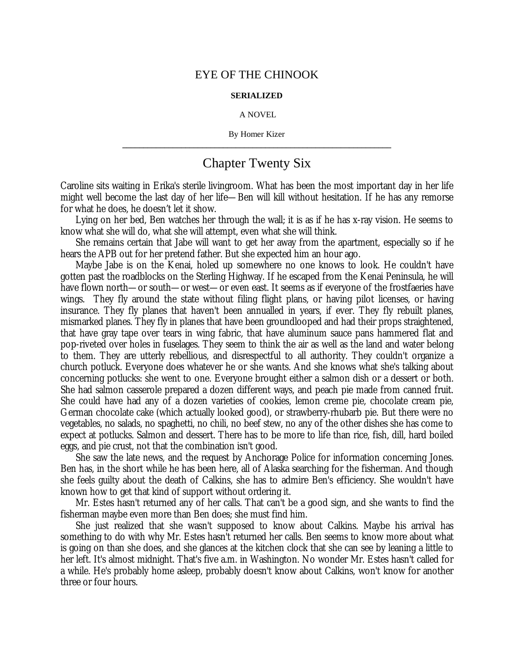## EYE OF THE CHINOOK

## **SERIALIZED**

## A NOVEL

By Homer Kizer **\_\_\_\_\_\_\_\_\_\_\_\_\_\_\_\_\_\_\_\_\_\_\_\_\_\_\_\_\_\_\_\_\_\_\_\_\_\_\_\_\_\_\_\_\_\_\_\_\_\_\_\_\_\_\_\_\_\_\_\_\_\_\_\_**

## Chapter Twenty Six

Caroline sits waiting in Erika's sterile livingroom. What has been the most important day in her life might well become the last day of her life— Ben will kill without hesitation. If he has any remorse for what he does, he doesn't let it show.

Lying on her bed, Ben watches her through the wall; it is as if he has x-ray vision. He seems to know what she will do, what she will attempt, even what she will think.

She remains certain that Jabe will want to get her away from the apartment, especially so if he hears the APB out for her pretend father. But she expected him an hour ago.

Maybe Jabe is on the Kenai, holed up somewhere no one knows to look. He couldn't have gotten past the roadblocks on the Sterling Highway. If he escaped from the Kenai Peninsula, he will have flown north— or south— or west— or even east. It seems as if everyone of the frostfaeries have wings. They fly around the state without filing flight plans, or having pilot licenses, or having insurance. They fly planes that haven't been annualled in years, if ever. They fly rebuilt planes, mismarked planes. They fly in planes that have been groundlooped and had their props straightened, that have gray tape over tears in wing fabric, that have aluminum sauce pans hammered flat and pop-riveted over holes in fuselages. They seem to think the air as well as the land and water belong to them. They are utterly rebellious, and disrespectful to all authority. They couldn't organize a church potluck. Everyone does whatever he or she wants. And she knows what she's talking about concerning potlucks: she went to one. Everyone brought either a salmon dish or a dessert or both. She had salmon casserole prepared a dozen different ways, and peach pie made from canned fruit. She could have had any of a dozen varieties of cookies, lemon creme pie, chocolate cream pie, German chocolate cake (which actually looked good), or strawberry-rhubarb pie. But there were no vegetables, no salads, no spaghetti, no chili, no beef stew, no any of the other dishes she has come to expect at potlucks. Salmon and dessert. There has to be more to life than rice, fish, dill, hard boiled eggs, and pie crust, not that the combination isn't good.

She saw the late news, and the request by Anchorage Police for information concerning Jones. Ben has, in the short while he has been here, all of Alaska searching for the fisherman. And though she feels guilty about the death of Calkins, she has to admire Ben's efficiency. She wouldn't have known how to get that kind of support without ordering it.

Mr. Estes hasn't returned any of her calls. That can't be a good sign, and she wants to find the fisherman maybe even more than Ben does; she must find him.

She just realized that she wasn't supposed to know about Calkins. Maybe his arrival has something to do with why Mr. Estes hasn't returned her calls. Ben seems to know more about what is going on than she does, and she glances at the kitchen clock that she can see by leaning a little to her left. It's almost midnight. That's five a.m. in Washington. No wonder Mr. Estes hasn't called for a while. He's probably home asleep, probably doesn't know about Calkins, won't know for another three or four hours.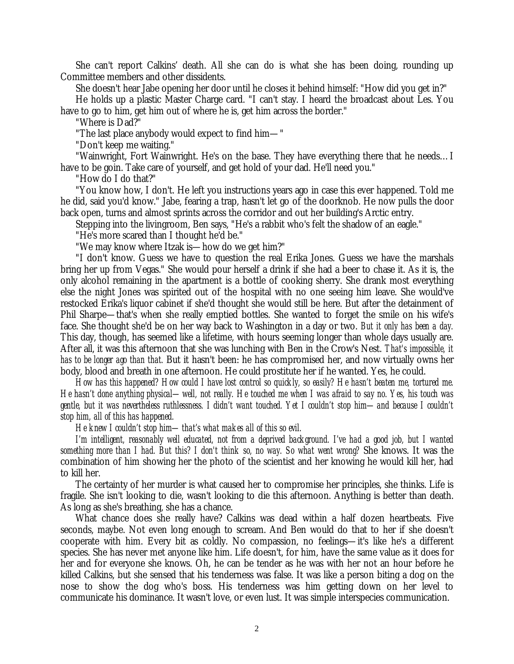She can't report Calkins' death. All she can do is what she has been doing, rounding up Committee members and other dissidents.

She doesn't hear Jabe opening her door until he closes it behind himself: "How did you get in?"

He holds up a plastic Master Charge card. "I can't stay. I heard the broadcast about Les. You have to go to him, get him out of where he is, get him across the border."

"Where is Dad?"

"The last place anybody would expect to find him— "

"Don't keep me waiting."

"Wainwright, Fort Wainwright. He's on the base. They have everything there that he needs… I have to be goin. Take care of yourself, and get hold of your dad. He'll need you."

"How do I do that?"

"You know how, I don't. He left you instructions years ago in case this ever happened. Told me he did, said you'd know." Jabe, fearing a trap, hasn't let go of the doorknob. He now pulls the door back open, turns and almost sprints across the corridor and out her building's Arctic entry.

Stepping into the livingroom, Ben says, "He's a rabbit who's felt the shadow of an eagle."

"He's more scared than I thought he'd be."

"We may know where Itzak is— how do we get him?"

"I don't know. Guess we have to question the real Erika Jones. Guess we have the marshals bring her up from Vegas." She would pour herself a drink if she had a beer to chase it. As it is, the only alcohol remaining in the apartment is a bottle of cooking sherry. She drank most everything else the night Jones was spirited out of the hospital with no one seeing him leave. She would've restocked Erika's liquor cabinet if she'd thought she would still be here. But after the detainment of Phil Sharpe— that's when she really emptied bottles. She wanted to forget the smile on his wife's face. She thought she'd be on her way back to Washington in a day or two. *But it only has been a day.* This day, though, has seemed like a lifetime, with hours seeming longer than whole days usually are. After all, it was this afternoon that she was lunching with Ben in the Crow's Nest. *That's impossible, it has to be longer ago than that.* But it hasn't been: he has compromised her, and now virtually owns her body, blood and breath in one afternoon. He could prostitute her if he wanted. Yes, he could.

*How has this happened? How could I have lost control so quickly, so easily? He hasn't beaten me, tortured me. He hasn't done anything physical— well, not really. He touched me when I was afraid to say no. Yes, his touch was gentle, but it was nevertheless ruthlessness. I didn't want touched. Yet I couldn't stop him— and because I couldn't stop him, all of this has happened.*

*He knew I couldn't stop him— that's what makes all of this so evil.*

*I'm intelligent, reasonably well educated, not from a deprived background. I've had a good job, but I wanted something more than I had. But this? I don't think so, no way. So what went wrong?* She knows. It was the combination of him showing her the photo of the scientist and her knowing he would kill her, had to kill her.

The certainty of her murder is what caused her to compromise her principles, she thinks. Life is fragile. She isn't looking to die, wasn't looking to die this afternoon. Anything is better than death. As long as she's breathing, she has a chance.

What chance does she really have? Calkins was dead within a half dozen heartbeats. Five seconds, maybe. Not even long enough to scream. And Ben would do that to her if she doesn't cooperate with him. Every bit as coldly. No compassion, no feelings— it's like he's a different species. She has never met anyone like him. Life doesn't, for him, have the same value as it does for her and for everyone she knows. Oh, he can be tender as he was with her not an hour before he killed Calkins, but she sensed that his tenderness was false. It was like a person biting a dog on the nose to show the dog who's boss. His tenderness was him getting down on her level to communicate his dominance. It wasn't love, or even lust. It was simple interspecies communication.